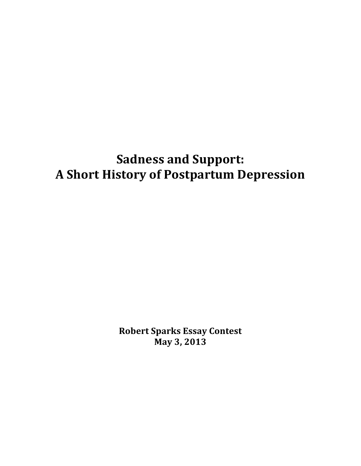# **Sadness and Support: A!Short!History!of!Postpartum!Depression**

**Robert!Sparks!Essay!Contest May 3, 2013**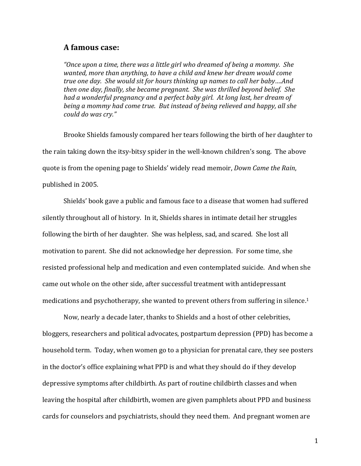#### **A!famous!case:**

"Once upon a time, there was a little girl who dreamed of being a mommy. She wanted, more than anything, to have a child and knew her dream would come *true one day. She would sit for hours thinking up names to call her baby....And then one day, finally, she became pregnant. She was thrilled beyond belief. She* had a wonderful pregnancy and a perfect baby girl. At long last, her dream of *being a mommy had come true. But instead of being relieved and happy, all she could!do!was!cry."*

Brooke Shields famously compared her tears following the birth of her daughter to the rain taking down the itsy-bitsy spider in the well-known children's song. The above quote is from the opening page to Shields' widely read memoir, *Down Came the Rain*, published in 2005.

Shields' book gave a public and famous face to a disease that women had suffered silently throughout all of history. In it, Shields shares in intimate detail her struggles following the birth of her daughter. She was helpless, sad, and scared. She lost all motivation to parent. She did not acknowledge her depression. For some time, she resisted professional help and medication and even contemplated suicide. And when she came out whole on the other side, after successful treatment with antidepressant medications and psychotherapy, she wanted to prevent others from suffering in silence.<sup>1</sup>

Now, nearly a decade later, thanks to Shields and a host of other celebrities, bloggers, researchers and political advocates, postpartum depression (PPD) has become a household term. Today, when women go to a physician for prenatal care, they see posters in the doctor's office explaining what PPD is and what they should do if they develop depressive symptoms after childbirth. As part of routine childbirth classes and when leaving the hospital after childbirth, women are given pamphlets about PPD and business cards for counselors and psychiatrists, should they need them. And pregnant women are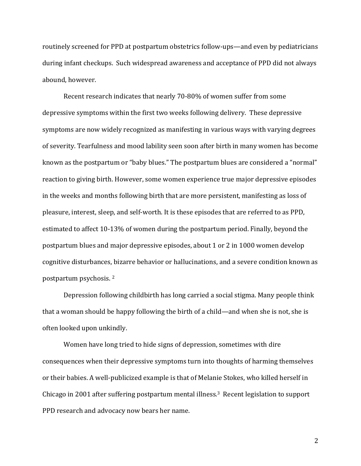routinely screened for PPD at postpartum obstetrics follow-ups—and even by pediatricians during infant checkups. Such widespread awareness and acceptance of PPD did not always abound, however.

Recent research indicates that nearly 70-80% of women suffer from some depressive symptoms within the first two weeks following delivery. These depressive symptoms are now widely recognized as manifesting in various ways with varying degrees of severity. Tearfulness and mood lability seen soon after birth in many women has become known as the postpartum or "baby blues." The postpartum blues are considered a "normal" reaction to giving birth. However, some women experience true major depressive episodes in the weeks and months following birth that are more persistent, manifesting as loss of pleasure, interest, sleep, and self-worth. It is these episodes that are referred to as PPD, estimated to affect 10-13% of women during the postpartum period. Finally, beyond the postpartum blues and major depressive episodes, about 1 or 2 in 1000 women develop cognitive disturbances, bizarre behavior or hallucinations, and a severe condition known as postpartum psychosis.<sup>2</sup>

Depression following childbirth has long carried a social stigma. Many people think that a woman should be happy following the birth of a child—and when she is not, she is often looked upon unkindly.

Women have long tried to hide signs of depression, sometimes with dire consequences when their depressive symptoms turn into thoughts of harming themselves or their babies. A well-publicized example is that of Melanie Stokes, who killed herself in Chicago in 2001 after suffering postpartum mental illness.<sup>3</sup> Recent legislation to support PPD research and advocacy now bears her name.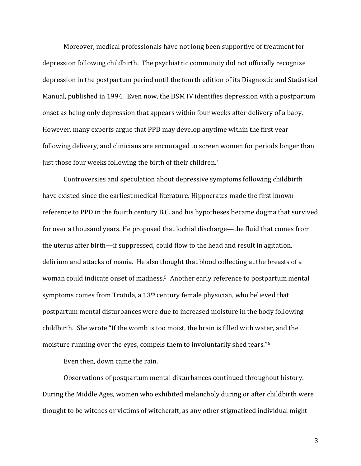Moreover, medical professionals have not long been supportive of treatment for depression following childbirth. The psychiatric community did not officially recognize depression in the postpartum period until the fourth edition of its Diagnostic and Statistical Manual, published in 1994. Even now, the DSM IV identifies depression with a postpartum onset as being only depression that appears within four weeks after delivery of a baby. However, many experts argue that PPD may develop anytime within the first year following delivery, and clinicians are encouraged to screen women for periods longer than just those four weeks following the birth of their children.<sup>4</sup>

Controversies and speculation about depressive symptoms following childbirth have existed since the earliest medical literature. Hippocrates made the first known reference to PPD in the fourth century B.C. and his hypotheses became dogma that survived for over a thousand years. He proposed that lochial discharge—the fluid that comes from the uterus after birth—if suppressed, could flow to the head and result in agitation, delirium and attacks of mania. He also thought that blood collecting at the breasts of a woman could indicate onset of madness.<sup>5</sup> Another early reference to postpartum mental symptoms comes from Trotula, a  $13<sup>th</sup>$  century female physician, who believed that postpartum mental disturbances were due to increased moisture in the body following childbirth. She wrote "If the womb is too moist, the brain is filled with water, and the moisture running over the eyes, compels them to involuntarily shed tears."<sup>6</sup>

Even then, down came the rain.

Observations of postpartum mental disturbances continued throughout history. During the Middle Ages, women who exhibited melancholy during or after childbirth were thought to be witches or victims of witchcraft, as any other stigmatized individual might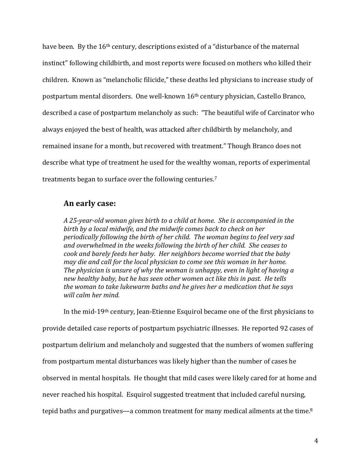have been. By the 16<sup>th</sup> century, descriptions existed of a "disturbance of the maternal instinct" following childbirth, and most reports were focused on mothers who killed their children. Known as "melancholic filicide," these deaths led physicians to increase study of postpartum mental disorders. One well-known 16<sup>th</sup> century physician, Castello Branco, described a case of postpartum melancholy as such: "The beautiful wife of Carcinator who always enjoyed the best of health, was attacked after childbirth by melancholy, and remained insane for a month, but recovered with treatment." Though Branco does not describe what type of treatment he used for the wealthy woman, reports of experimental treatments began to surface over the following centuries.<sup>7</sup>

### **An!early!case:**

A 25-year-old woman gives birth to a child at home. She is accompanied in the birth by a local midwife, and the midwife comes back to check on her periodically following the birth of her child. The woman begins to feel very sad and overwhelmed in the weeks following the birth of her child. She ceases to *cook and barely feeds her baby. Her neighbors become worried that the baby may die and call for the local physician to come see this woman in her home. The physician is unsure of why the woman is unhappy, even in light of having a* new healthy baby, but he has seen other women act like this in past. He tells the woman to take lukewarm baths and he gives her a medication that he says will calm her mind.

In the mid-19<sup>th</sup> century, Jean-Etienne Esquirol became one of the first physicians to provide detailed case reports of postpartum psychiatric illnesses. He reported 92 cases of postpartum delirium and melancholy and suggested that the numbers of women suffering from postpartum mental disturbances was likely higher than the number of cases he observed in mental hospitals. He thought that mild cases were likely cared for at home and never reached his hospital. Esquirol suggested treatment that included careful nursing, tepid baths and purgatives—a common treatment for many medical ailments at the time.<sup>8</sup>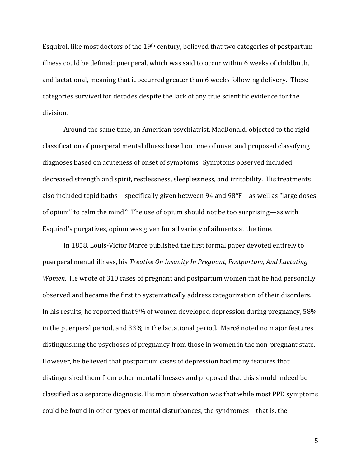Esquirol, like most doctors of the  $19<sup>th</sup>$  century, believed that two categories of postpartum illness could be defined: puerperal, which was said to occur within 6 weeks of childbirth, and lactational, meaning that it occurred greater than 6 weeks following delivery. These categories survived for decades despite the lack of any true scientific evidence for the division.

Around the same time, an American psychiatrist, MacDonald, objected to the rigid classification of puerperal mental illness based on time of onset and proposed classifying diagnoses based on acuteness of onset of symptoms. Symptoms observed included decreased strength and spirit, restlessness, sleeplessness, and irritability. His treatments also included tepid baths—specifically given between 94 and  $98^{\circ}F$ —as well as "large doses" of opium" to calm the mind  $9$  The use of opium should not be too surprising—as with Esquirol's purgatives, opium was given for all variety of ailments at the time.

In 1858, Louis-Victor Marcé published the first formal paper devoted entirely to puerperal mental illness, his *Treatise On Insanity In Pregnant, Postpartum, And Lactating Women*. He wrote of 310 cases of pregnant and postpartum women that he had personally observed and became the first to systematically address categorization of their disorders. In his results, he reported that 9% of women developed depression during pregnancy, 58% in the puerperal period, and 33% in the lactational period. Marcé noted no major features distinguishing the psychoses of pregnancy from those in women in the non-pregnant state. However, he believed that postpartum cases of depression had many features that distinguished them from other mental illnesses and proposed that this should indeed be classified as a separate diagnosis. His main observation was that while most PPD symptoms could be found in other types of mental disturbances, the syndromes—that is, the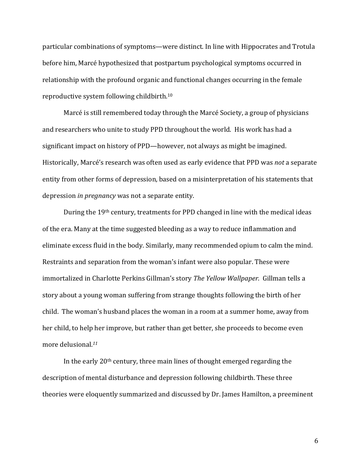particular combinations of symptoms—were distinct. In line with Hippocrates and Trotula before him, Marcé hypothesized that postpartum psychological symptoms occurred in relationship with the profound organic and functional changes occurring in the female reproductive system following childbirth.<sup>10</sup>

Marcé is still remembered today through the Marcé Society, a group of physicians and researchers who unite to study PPD throughout the world. His work has had a significant impact on history of PPD—however, not always as might be imagined. Historically, Marcé's research was often used as early evidence that PPD was *not* a separate entity from other forms of depression, based on a misinterpretation of his statements that depression *in pregnancy* was not a separate entity.

During the 19<sup>th</sup> century, treatments for PPD changed in line with the medical ideas of the era. Many at the time suggested bleeding as a way to reduce inflammation and eliminate excess fluid in the body. Similarly, many recommended opium to calm the mind. Restraints and separation from the woman's infant were also popular. These were immortalized in Charlotte Perkins Gillman's story *The Yellow Wallpaper.* Gillman tells a story about a young woman suffering from strange thoughts following the birth of her child. The woman's husband places the woman in a room at a summer home, away from her child, to help her improve, but rather than get better, she proceeds to become even more delusional.<sup>11</sup>

In the early  $20<sup>th</sup>$  century, three main lines of thought emerged regarding the description of mental disturbance and depression following childbirth. These three theories were eloquently summarized and discussed by Dr. James Hamilton, a preeminent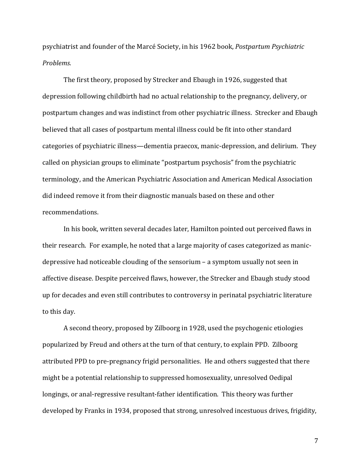psychiatrist!and!founder!of the!Marcé!Society, in!his!1962!book,!*Postpartum!Psychiatric! Problems.*!!

The first theory, proposed by Strecker and Ebaugh in 1926, suggested that depression following childbirth had no actual relationship to the pregnancy, delivery, or postpartum changes and was indistinct from other psychiatric illness. Strecker and Ebaugh believed that all cases of postpartum mental illness could be fit into other standard categories of psychiatric illness—dementia praecox, manic-depression, and delirium. They called on physician groups to eliminate "postpartum psychosis" from the psychiatric terminology, and the American Psychiatric Association and American Medical Association did indeed remove it from their diagnostic manuals based on these and other recommendations.!!

In his book, written several decades later, Hamilton pointed out perceived flaws in their research. For example, he noted that a large majority of cases categorized as manicdepressive had noticeable clouding of the sensorium – a symptom usually not seen in affective disease. Despite perceived flaws, however, the Strecker and Ebaugh study stood up for decades and even still contributes to controversy in perinatal psychiatric literature to this day.

A second theory, proposed by Zilboorg in 1928, used the psychogenic etiologies popularized by Freud and others at the turn of that century, to explain PPD. Zilboorg attributed PPD to pre-pregnancy frigid personalities. He and others suggested that there might be a potential relationship to suppressed homosexuality, unresolved Oedipal longings, or anal-regressive resultant-father identification. This theory was further developed by Franks in 1934, proposed that strong, unresolved incestuous drives, frigidity,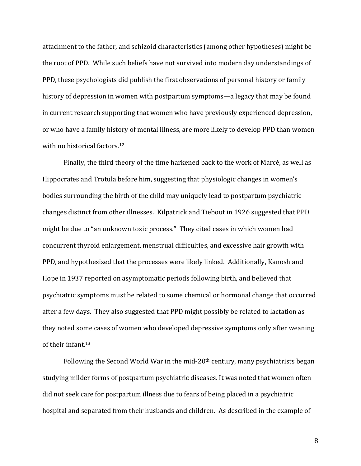attachment to the father, and schizoid characteristics (among other hypotheses) might be the root of PPD. While such beliefs have not survived into modern day understandings of PPD, these psychologists did publish the first observations of personal history or family history of depression in women with postpartum symptoms—a legacy that may be found in current research supporting that women who have previously experienced depression, or who have a family history of mental illness, are more likely to develop PPD than women with no historical factors.<sup>12</sup>

Finally, the third theory of the time harkened back to the work of Marcé, as well as Hippocrates and Trotula before him, suggesting that physiologic changes in women's bodies surrounding the birth of the child may uniquely lead to postpartum psychiatric changes distinct from other illnesses. Kilpatrick and Tiebout in 1926 suggested that PPD might be due to "an unknown toxic process." They cited cases in which women had concurrent thyroid enlargement, menstrual difficulties, and excessive hair growth with PPD, and hypothesized that the processes were likely linked. Additionally, Kanosh and Hope in 1937 reported on asymptomatic periods following birth, and believed that psychiatric symptoms must be related to some chemical or hormonal change that occurred after a few days. They also suggested that PPD might possibly be related to lactation as they noted some cases of women who developed depressive symptoms only after weaning of their infant.<sup>13</sup>

Following the Second World War in the mid-20<sup>th</sup> century, many psychiatrists began studying milder forms of postpartum psychiatric diseases. It was noted that women often did not seek care for postpartum illness due to fears of being placed in a psychiatric hospital and separated from their husbands and children. As described in the example of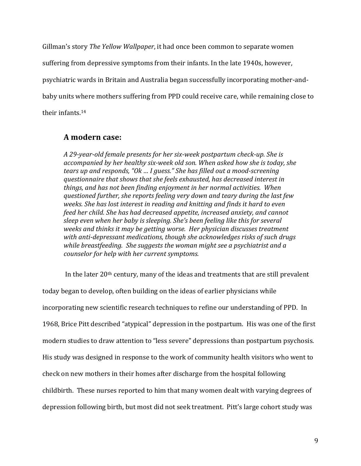Gillman's story *The Yellow Wallpaper*, it had once been common to separate women suffering from depressive symptoms from their infants. In the late 1940s, however, psychiatric wards in Britain and Australia began successfully incorporating mother-andbaby units where mothers suffering from PPD could receive care, while remaining close to their infants.<sup>14</sup>

## **A!modern case:**

*A 29-year-old female presents for her six-week postpartum check-up. She is* accompanied by her healthy six-week old son. When asked how she is today, she *tears up and responds, "Ok ... I guess." She has filled out a mood-screening questionnaire that shows that she feels exhausted, has decreased interest in things,!and!has!not!been!finding!enjoyment!in!her!normal!activities.!!When! questioned!further,!she!reports!feeling!very!down!and!teary!during!the!last!few! weeks. She has lost interest in reading and knitting and finds it hard to even feed her child. She has had decreased appetite, increased anxiety, and cannot sleep even when her baby is sleeping. She's been feeling like this for several weeks and thinks it may be getting worse. Her physician discusses treatment* with anti-depressant medications, though she acknowledges risks of such drugs while breastfeeding. She suggests the woman might see a psychiatrist and a *counselor for help with her current symptoms.* 

In the later 20<sup>th</sup> century, many of the ideas and treatments that are still prevalent today began to develop, often building on the ideas of earlier physicians while incorporating new scientific research techniques to refine our understanding of PPD. In 1968, Brice Pitt described "atypical" depression in the postpartum. His was one of the first modern studies to draw attention to "less severe" depressions than postpartum psychosis. His study was designed in response to the work of community health visitors who went to check on new mothers in their homes after discharge from the hospital following childbirth. These nurses reported to him that many women dealt with varying degrees of depression following birth, but most did not seek treatment. Pitt's large cohort study was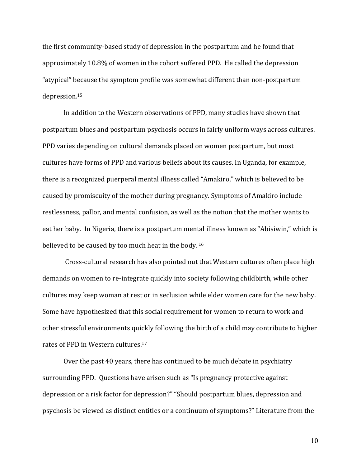the first community-based study of depression in the postpartum and he found that approximately 10.8% of women in the cohort suffered PPD. He called the depression "atypical" because the symptom profile was somewhat different than non-postpartum depression.15

In addition to the Western observations of PPD, many studies have shown that postpartum blues and postpartum psychosis occurs in fairly uniform ways across cultures. PPD varies depending on cultural demands placed on women postpartum, but most cultures have forms of PPD and various beliefs about its causes. In Uganda, for example, there is a recognized puerperal mental illness called "Amakiro," which is believed to be caused by promiscuity of the mother during pregnancy. Symptoms of Amakiro include restlessness, pallor, and mental confusion, as well as the notion that the mother wants to eat her baby. In Nigeria, there is a postpartum mental illness known as "Abisiwin," which is believed to be caused by too much heat in the body. <sup>16</sup>

Cross-cultural research has also pointed out that Western cultures often place high demands on women to re-integrate quickly into society following childbirth, while other cultures may keep woman at rest or in seclusion while elder women care for the new baby. Some have hypothesized that this social requirement for women to return to work and other stressful environments quickly following the birth of a child may contribute to higher rates of PPD in Western cultures.<sup>17</sup>

Over the past 40 years, there has continued to be much debate in psychiatry surrounding PPD. Questions have arisen such as "Is pregnancy protective against depression or a risk factor for depression?" "Should postpartum blues, depression and psychosis be viewed as distinct entities or a continuum of symptoms?" Literature from the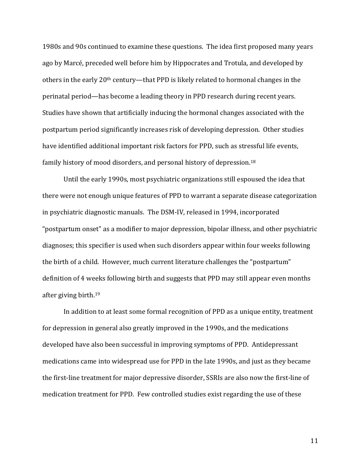1980s and 90s continued to examine these questions. The idea first proposed many years ago by Marcé, preceded well before him by Hippocrates and Trotula, and developed by others in the early 20<sup>th</sup> century—that PPD is likely related to hormonal changes in the perinatal period—has become a leading theory in PPD research during recent years. Studies have shown that artificially inducing the hormonal changes associated with the postpartum period significantly increases risk of developing depression. Other studies have identified additional important risk factors for PPD, such as stressful life events, family history of mood disorders, and personal history of depression.<sup>18</sup>

Until the early 1990s, most psychiatric organizations still espoused the idea that there were not enough unique features of PPD to warrant a separate disease categorization in psychiatric diagnostic manuals. The DSM-IV, released in 1994, incorporated "postpartum onset" as a modifier to major depression, bipolar illness, and other psychiatric diagnoses; this specifier is used when such disorders appear within four weeks following the birth of a child. However, much current literature challenges the "postpartum" definition of 4 weeks following birth and suggests that PPD may still appear even months after giving birth.<sup>19</sup>

In addition to at least some formal recognition of PPD as a unique entity, treatment for depression in general also greatly improved in the 1990s, and the medications developed have also been successful in improving symptoms of PPD. Antidepressant medications came into widespread use for PPD in the late 1990s, and just as they became the first-line treatment for major depressive disorder, SSRIs are also now the first-line of medication treatment for PPD. Few controlled studies exist regarding the use of these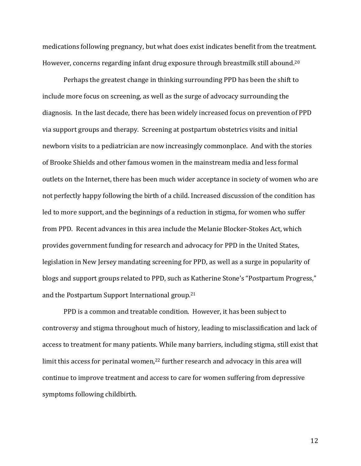medications following pregnancy, but what does exist indicates benefit from the treatment. However, concerns regarding infant drug exposure through breastmilk still abound.<sup>20</sup>

Perhaps the greatest change in thinking surrounding PPD has been the shift to include more focus on screening, as well as the surge of advocacy surrounding the diagnosis. In the last decade, there has been widely increased focus on prevention of PPD via support groups and therapy. Screening at postpartum obstetrics visits and initial newborn visits to a pediatrician are now increasingly commonplace. And with the stories of Brooke Shields and other famous women in the mainstream media and less formal outlets on the Internet, there has been much wider acceptance in society of women who are not perfectly happy following the birth of a child. Increased discussion of the condition has led to more support, and the beginnings of a reduction in stigma, for women who suffer from PPD. Recent advances in this area include the Melanie Blocker-Stokes Act, which provides government funding for research and advocacy for PPD in the United States, legislation in New Jersey mandating screening for PPD, as well as a surge in popularity of blogs and support groups related to PPD, such as Katherine Stone's "Postpartum Progress," and the Postpartum Support International group.<sup>21</sup>

PPD is a common and treatable condition. However, it has been subject to controversy and stigma throughout much of history, leading to misclassification and lack of access to treatment for many patients. While many barriers, including stigma, still exist that limit this access for perinatal women,<sup>22</sup> further research and advocacy in this area will continue to improve treatment and access to care for women suffering from depressive symptoms following childbirth.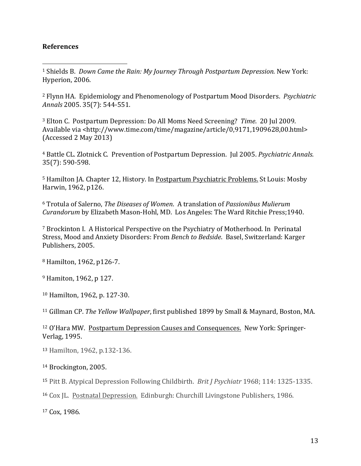### **References**

!!!!!!!!!!!!!!!!!!!!!!!!!!!!!!!!!!!!!!!!!!!!!!!!!!!!!!!

<sup>1</sup> Shields B. *Down Came the Rain: My Journey Through Postpartum Depression.* New York: Hyperion, 2006.

<sup>2</sup> Flynn HA. Epidemiology and Phenomenology of Postpartum Mood Disorders. *Psychiatric* Annals 2005. 35(7): 544-551.

<sup>3</sup> Elton C. Postpartum Depression: Do All Moms Need Screening? *Time*. 20 Jul 2009. Available via <http://www.time.com/time/magazine/article/0,9171,1909628,00.html>  $(Accessed 2 May 2013)$ 

<sup>4</sup> Battle CL. Zlotnick C. Prevention of Postpartum Depression. Jul 2005. Psychiatric Annals. 35(7): 590-598.

<sup>5</sup> Hamilton JA. Chapter 12, History. In Postpartum Psychiatric Problems. St Louis: Mosby Harwin, 1962, p126.

<sup>6</sup> Trotula of Salerno, *The Diseases of Women*. A translation of *Passionibus Mulierum Curandorum* by Elizabeth Mason-Hohl, MD. Los Angeles: The Ward Ritchie Press;1940.

<sup>7</sup> Brockinton I. A Historical Perspective on the Psychiatry of Motherhood. In Perinatal Stress, Mood and Anxiety Disorders: From *Bench to Bedside*. Basel, Switzerland: Karger Publishers, 2005.

<sup>8</sup> Hamilton, 1962, p126-7.

<sup>9</sup> Hamiton, 1962, p 127.

<sup>10</sup> Hamilton, 1962, p. 127-30.

<sup>11</sup> Gillman CP. *The Yellow Wallpaper*, first published 1899 by Small & Maynard, Boston, MA.

<sup>12</sup> O'Hara MW. Postpartum Depression Causes and Consequences. New York: Springer-Verlag, 1995.

13 Hamilton, 1962, p.132-136.

<sup>14</sup> Brockington, 2005.

<sup>15</sup> Pitt B. Atypical Depression Following Childbirth. *Brit J Psychiatr* 1968; 114: 1325-1335.

<sup>16</sup> Cox JL. Postnatal Depression. Edinburgh: Churchill Livingstone Publishers, 1986.

<sup>17</sup> Cox,!1986*.*